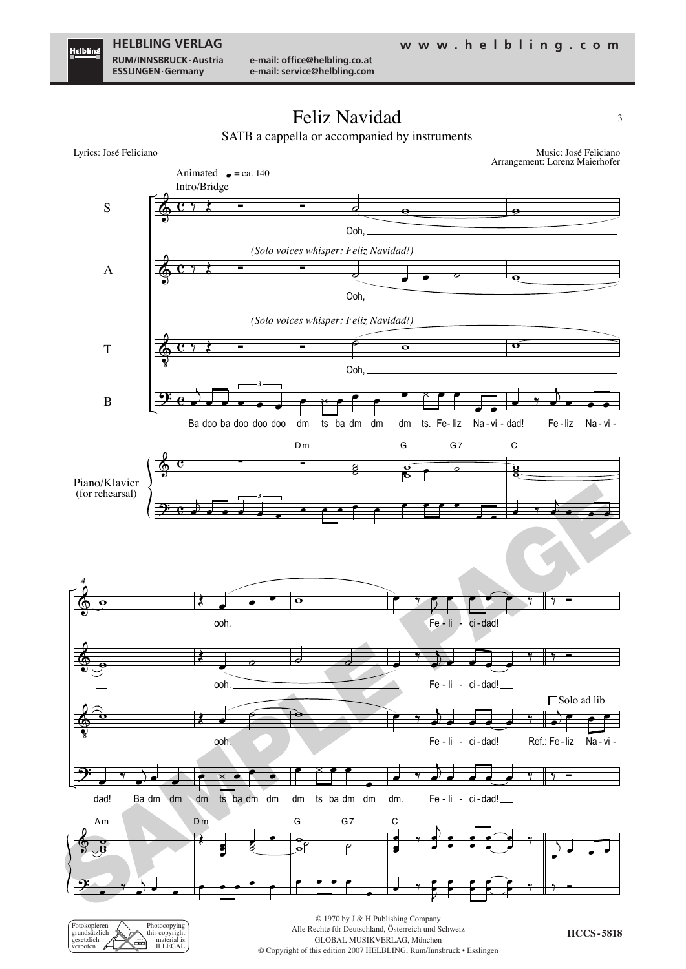Fotokopieren grundsätzlich gesetzlich verboten

Photocopying this copyright material is ILLEGAL

 $\ensuremath{\mathfrak{Z}}$ 

**HCCS - 5818**

## Feliz Navidad



Alle Rechte für Deutschland, Österreich und Schweiz GLOBAL MUSIKVERLAG, München © Copyright of this edition 2007 HELBLING, Rum/Innsbruck • Esslingen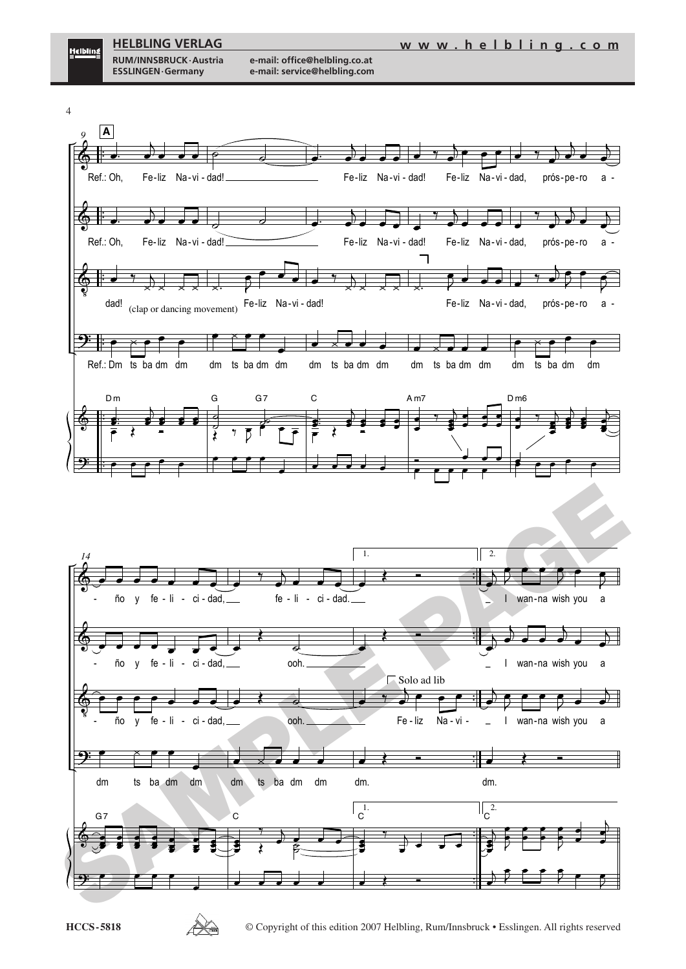

**RUM/INNSBRUCK·Austria e-mail: office@helbling.co.at**





© Copyright of this edition 2007 Helbling, Rum/Innsbruck • Esslingen. All rights reserved